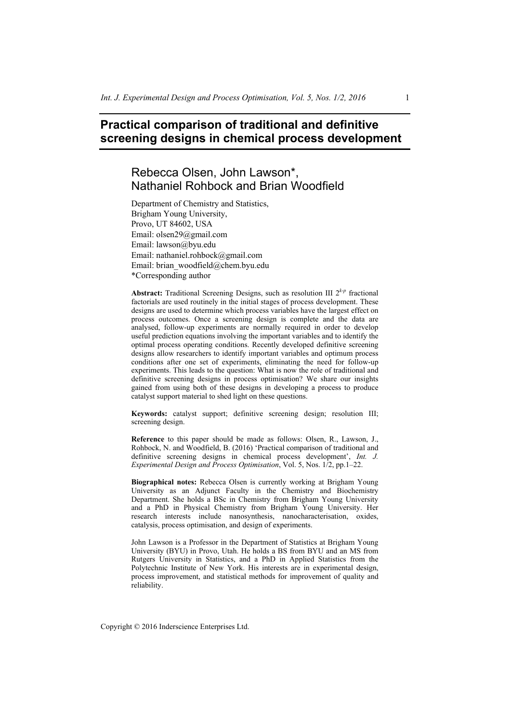# **Practical comparison of traditional and definitive screening designs in chemical process development**

# Rebecca Olsen, John Lawson\*, Nathaniel Rohbock and Brian Woodfield

Department of Chemistry and Statistics, Brigham Young University, Provo, UT 84602, USA Email: olsen29@gmail.com Email: lawson@byu.edu Email: nathaniel.rohbock@gmail.com Email: brian\_woodfield@chem.byu.edu \*Corresponding author

**Abstract:** Traditional Screening Designs, such as resolution III  $2^{k-p}$  fractional factorials are used routinely in the initial stages of process development. These designs are used to determine which process variables have the largest effect on process outcomes. Once a screening design is complete and the data are analysed, follow-up experiments are normally required in order to develop useful prediction equations involving the important variables and to identify the optimal process operating conditions. Recently developed definitive screening designs allow researchers to identify important variables and optimum process conditions after one set of experiments, eliminating the need for follow-up experiments. This leads to the question: What is now the role of traditional and definitive screening designs in process optimisation? We share our insights gained from using both of these designs in developing a process to produce catalyst support material to shed light on these questions.

**Keywords:** catalyst support; definitive screening design; resolution III; screening design.

**Reference** to this paper should be made as follows: Olsen, R., Lawson, J., Rohbock, N. and Woodfield, B. (2016) 'Practical comparison of traditional and definitive screening designs in chemical process development', *Int. J. Experimental Design and Process Optimisation*, Vol. 5, Nos. 1/2, pp.1–22.

**Biographical notes:** Rebecca Olsen is currently working at Brigham Young University as an Adjunct Faculty in the Chemistry and Biochemistry Department. She holds a BSc in Chemistry from Brigham Young University and a PhD in Physical Chemistry from Brigham Young University. Her research interests include nanosynthesis, nanocharacterisation, oxides, catalysis, process optimisation, and design of experiments.

John Lawson is a Professor in the Department of Statistics at Brigham Young University (BYU) in Provo, Utah. He holds a BS from BYU and an MS from Rutgers University in Statistics, and a PhD in Applied Statistics from the Polytechnic Institute of New York. His interests are in experimental design, process improvement, and statistical methods for improvement of quality and reliability.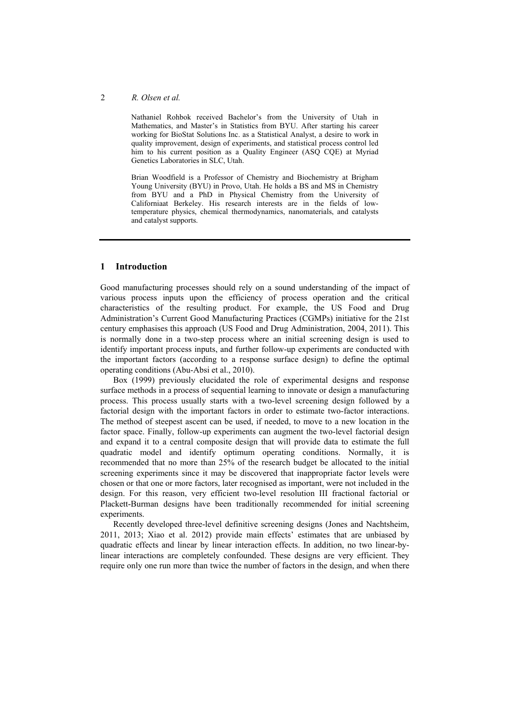Nathaniel Rohbok received Bachelor's from the University of Utah in Mathematics, and Master's in Statistics from BYU. After starting his career working for BioStat Solutions Inc. as a Statistical Analyst, a desire to work in quality improvement, design of experiments, and statistical process control led him to his current position as a Quality Engineer (ASQ CQE) at Myriad Genetics Laboratories in SLC, Utah.

Brian Woodfield is a Professor of Chemistry and Biochemistry at Brigham Young University (BYU) in Provo, Utah. He holds a BS and MS in Chemistry from BYU and a PhD in Physical Chemistry from the University of Californiaat Berkeley. His research interests are in the fields of lowtemperature physics, chemical thermodynamics, nanomaterials, and catalysts and catalyst supports.

#### **1 Introduction**

Good manufacturing processes should rely on a sound understanding of the impact of various process inputs upon the efficiency of process operation and the critical characteristics of the resulting product. For example, the US Food and Drug Administration's Current Good Manufacturing Practices (CGMPs) initiative for the 21st century emphasises this approach (US Food and Drug Administration, 2004, 2011). This is normally done in a two-step process where an initial screening design is used to identify important process inputs, and further follow-up experiments are conducted with the important factors (according to a response surface design) to define the optimal operating conditions (Abu-Absi et al., 2010).

Box (1999) previously elucidated the role of experimental designs and response surface methods in a process of sequential learning to innovate or design a manufacturing process. This process usually starts with a two-level screening design followed by a factorial design with the important factors in order to estimate two-factor interactions. The method of steepest ascent can be used, if needed, to move to a new location in the factor space. Finally, follow-up experiments can augment the two-level factorial design and expand it to a central composite design that will provide data to estimate the full quadratic model and identify optimum operating conditions. Normally, it is recommended that no more than 25% of the research budget be allocated to the initial screening experiments since it may be discovered that inappropriate factor levels were chosen or that one or more factors, later recognised as important, were not included in the design. For this reason, very efficient two-level resolution III fractional factorial or Plackett-Burman designs have been traditionally recommended for initial screening experiments.

Recently developed three-level definitive screening designs (Jones and Nachtsheim, 2011, 2013; Xiao et al. 2012) provide main effects' estimates that are unbiased by quadratic effects and linear by linear interaction effects. In addition, no two linear-bylinear interactions are completely confounded. These designs are very efficient. They require only one run more than twice the number of factors in the design, and when there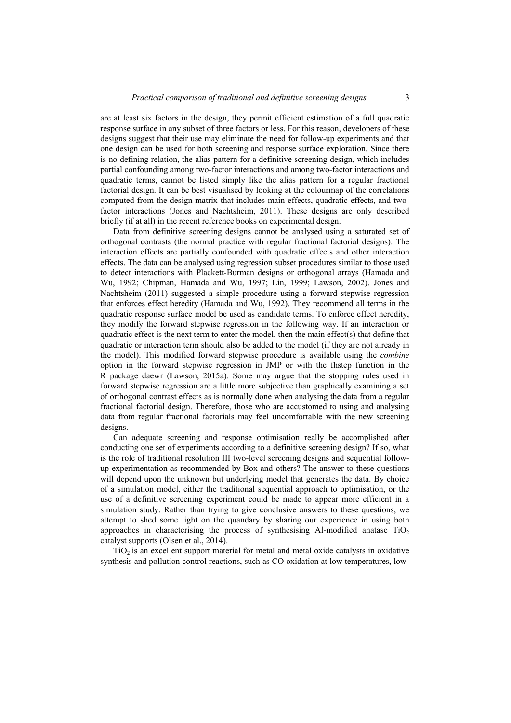are at least six factors in the design, they permit efficient estimation of a full quadratic response surface in any subset of three factors or less. For this reason, developers of these designs suggest that their use may eliminate the need for follow-up experiments and that one design can be used for both screening and response surface exploration. Since there is no defining relation, the alias pattern for a definitive screening design, which includes partial confounding among two-factor interactions and among two-factor interactions and quadratic terms, cannot be listed simply like the alias pattern for a regular fractional factorial design. It can be best visualised by looking at the colourmap of the correlations computed from the design matrix that includes main effects, quadratic effects, and twofactor interactions (Jones and Nachtsheim, 2011). These designs are only described briefly (if at all) in the recent reference books on experimental design.

Data from definitive screening designs cannot be analysed using a saturated set of orthogonal contrasts (the normal practice with regular fractional factorial designs). The interaction effects are partially confounded with quadratic effects and other interaction effects. The data can be analysed using regression subset procedures similar to those used to detect interactions with Plackett-Burman designs or orthogonal arrays (Hamada and Wu, 1992; Chipman, Hamada and Wu, 1997; Lin, 1999; Lawson, 2002). Jones and Nachtsheim (2011) suggested a simple procedure using a forward stepwise regression that enforces effect heredity (Hamada and Wu, 1992). They recommend all terms in the quadratic response surface model be used as candidate terms. To enforce effect heredity, they modify the forward stepwise regression in the following way. If an interaction or quadratic effect is the next term to enter the model, then the main effect(s) that define that quadratic or interaction term should also be added to the model (if they are not already in the model). This modified forward stepwise procedure is available using the *combine* option in the forward stepwise regression in JMP or with the fhstep function in the R package daewr (Lawson, 2015a). Some may argue that the stopping rules used in forward stepwise regression are a little more subjective than graphically examining a set of orthogonal contrast effects as is normally done when analysing the data from a regular fractional factorial design. Therefore, those who are accustomed to using and analysing data from regular fractional factorials may feel uncomfortable with the new screening designs.

Can adequate screening and response optimisation really be accomplished after conducting one set of experiments according to a definitive screening design? If so, what is the role of traditional resolution III two-level screening designs and sequential followup experimentation as recommended by Box and others? The answer to these questions will depend upon the unknown but underlying model that generates the data. By choice of a simulation model, either the traditional sequential approach to optimisation, or the use of a definitive screening experiment could be made to appear more efficient in a simulation study. Rather than trying to give conclusive answers to these questions, we attempt to shed some light on the quandary by sharing our experience in using both approaches in characterising the process of synthesising Al-modified anatase  $TiO<sub>2</sub>$ catalyst supports (Olsen et al., 2014).

 $TiO<sub>2</sub>$  is an excellent support material for metal and metal oxide catalysts in oxidative synthesis and pollution control reactions, such as CO oxidation at low temperatures, low-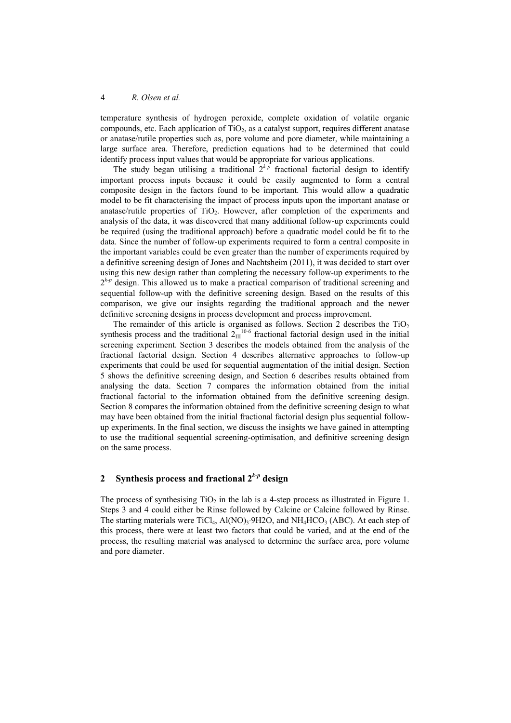temperature synthesis of hydrogen peroxide, complete oxidation of volatile organic compounds, etc. Each application of  $TiO<sub>2</sub>$ , as a catalyst support, requires different anatase or anatase/rutile properties such as, pore volume and pore diameter, while maintaining a large surface area. Therefore, prediction equations had to be determined that could identify process input values that would be appropriate for various applications.

The study began utilising a traditional  $2^{k-p}$  fractional factorial design to identify important process inputs because it could be easily augmented to form a central composite design in the factors found to be important. This would allow a quadratic model to be fit characterising the impact of process inputs upon the important anatase or anatase/rutile properties of TiO<sub>2</sub>. However, after completion of the experiments and analysis of the data, it was discovered that many additional follow-up experiments could be required (using the traditional approach) before a quadratic model could be fit to the data. Since the number of follow-up experiments required to form a central composite in the important variables could be even greater than the number of experiments required by a definitive screening design of Jones and Nachtsheim (2011), it was decided to start over using this new design rather than completing the necessary follow-up experiments to the  $2^{k-p}$  design. This allowed us to make a practical comparison of traditional screening and sequential follow-up with the definitive screening design. Based on the results of this comparison, we give our insights regarding the traditional approach and the newer definitive screening designs in process development and process improvement.

The remainder of this article is organised as follows. Section 2 describes the  $TiO<sub>2</sub>$ synthesis process and the traditional  $2_{III}^{10-6}$  fractional factorial design used in the initial screening experiment. Section 3 describes the models obtained from the analysis of the fractional factorial design. Section 4 describes alternative approaches to follow-up experiments that could be used for sequential augmentation of the initial design. Section 5 shows the definitive screening design, and Section 6 describes results obtained from analysing the data. Section 7 compares the information obtained from the initial fractional factorial to the information obtained from the definitive screening design. Section 8 compares the information obtained from the definitive screening design to what may have been obtained from the initial fractional factorial design plus sequential followup experiments. In the final section, we discuss the insights we have gained in attempting to use the traditional sequential screening-optimisation, and definitive screening design on the same process.

## **2 Synthesis process and fractional 2***k-p* **design**

The process of synthesising  $TiO<sub>2</sub>$  in the lab is a 4-step process as illustrated in Figure 1. Steps 3 and 4 could either be Rinse followed by Calcine or Calcine followed by Rinse. The starting materials were TiCl<sub>4</sub>, Al(NO)<sub>3</sub>⋅9H2O, and NH<sub>4</sub>HCO<sub>3</sub> (ABC). At each step of this process, there were at least two factors that could be varied, and at the end of the process, the resulting material was analysed to determine the surface area, pore volume and pore diameter.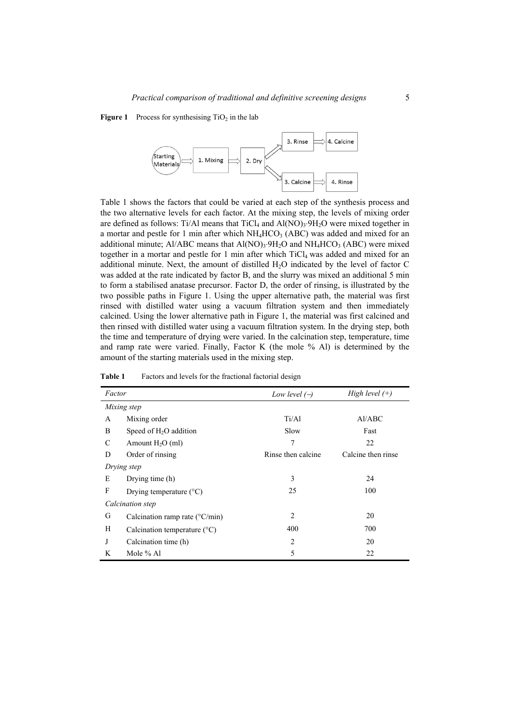**Figure 1** Process for synthesising  $TiO<sub>2</sub>$  in the lab



Table 1 shows the factors that could be varied at each step of the synthesis process and the two alternative levels for each factor. At the mixing step, the levels of mixing order are defined as follows: Ti/Al means that TiCl<sub>4</sub> and  $Al(NO)$ <sub>3</sub>⋅9H<sub>2</sub>O were mixed together in a mortar and pestle for 1 min after which  $NH<sub>4</sub>HCO<sub>3</sub>$  (ABC) was added and mixed for an additional minute; Al/ABC means that Al(NO)<sub>3</sub>⋅9H<sub>2</sub>O and NH<sub>4</sub>HCO<sub>3</sub> (ABC) were mixed together in a mortar and pestle for 1 min after which  $TiCl<sub>4</sub>$  was added and mixed for an additional minute. Next, the amount of distilled  $H_2O$  indicated by the level of factor  $C$ was added at the rate indicated by factor B, and the slurry was mixed an additional 5 min to form a stabilised anatase precursor. Factor D, the order of rinsing, is illustrated by the two possible paths in Figure 1. Using the upper alternative path, the material was first rinsed with distilled water using a vacuum filtration system and then immediately calcined. Using the lower alternative path in Figure 1, the material was first calcined and then rinsed with distilled water using a vacuum filtration system. In the drying step, both the time and temperature of drying were varied. In the calcination step, temperature, time and ramp rate were varied. Finally, Factor K (the mole % Al) is determined by the amount of the starting materials used in the mixing step.

| Factor |                                                | Low level $(\rightarrow)$ | High level $(+)$   |
|--------|------------------------------------------------|---------------------------|--------------------|
|        | Mixing step                                    |                           |                    |
| A      | Mixing order                                   | Ti/A1                     | AI/ABC             |
| B      | Speed of H <sub>2</sub> O addition             | Slow                      | Fast               |
| C      | Amount $H2O$ (ml)                              | 7                         | 22                 |
| D      | Order of rinsing                               | Rinse then calcine        | Calcine then rinse |
|        | Drying step                                    |                           |                    |
| E      | Drying time (h)                                | 3                         | 24                 |
| F      | Drying temperature $(^{\circ}C)$               | 25                        | 100                |
|        | Calcination step                               |                           |                    |
| G      | Calcination ramp rate $(^{\circ}C/\text{min})$ | 2                         | 20                 |
| Н      | Calcination temperature $({}^{\circ}C)$        | 400                       | 700                |
| J      | Calcination time (h)                           | 2                         | 20                 |
| K      | Mole % Al                                      | 5                         | 22                 |

**Table 1** Factors and levels for the fractional factorial design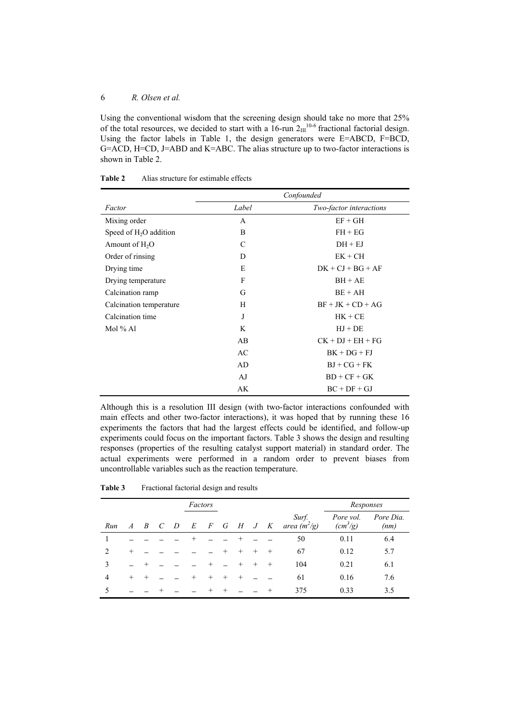Using the conventional wisdom that the screening design should take no more that 25% of the total resources, we decided to start with a  $16$ -run  $2_{III}^{10-6}$  fractional factorial design. Using the factor labels in Table 1, the design generators were E=ABCD, F=BCD, G=ACD, H=CD, J=ABD and K=ABC. The alias structure up to two-factor interactions is shown in Table 2.

|                          | Confounded    |                         |  |  |  |  |  |  |
|--------------------------|---------------|-------------------------|--|--|--|--|--|--|
| Factor                   | Label         | Two-factor interactions |  |  |  |  |  |  |
| Mixing order             | A             | $EF + GH$               |  |  |  |  |  |  |
| Speed of $H_2O$ addition | B             | $FH + EG$               |  |  |  |  |  |  |
| Amount of $H_2O$         | $\mathcal{C}$ | $DH + EI$               |  |  |  |  |  |  |
| Order of rinsing         | D             | $EK + CH$               |  |  |  |  |  |  |
| Drying time              | E             | $DK + CJ + BG + AF$     |  |  |  |  |  |  |
| Drying temperature       | F             | $BH + AE$               |  |  |  |  |  |  |
| Calcination ramp         | G             | $BE + AH$               |  |  |  |  |  |  |
| Calcination temperature  | H             | $BF + JK + CD + AG$     |  |  |  |  |  |  |
| Calcination time         | J             | $HK + CE$               |  |  |  |  |  |  |
| Mol $%$ Al               | K             | $HJ + DE$               |  |  |  |  |  |  |
|                          | AB            | $CK + DJ + EH + FG$     |  |  |  |  |  |  |
|                          | AC            | $BK + DG + FI$          |  |  |  |  |  |  |
|                          | AD            | $BJ + CG + FK$          |  |  |  |  |  |  |
|                          | AJ            | $BD + CF + GK$          |  |  |  |  |  |  |
|                          | AK            | $BC + DF + GJ$          |  |  |  |  |  |  |

**Table 2** Alias structure for estimable effects

Although this is a resolution III design (with two-factor interactions confounded with main effects and other two-factor interactions), it was hoped that by running these 16 experiments the factors that had the largest effects could be identified, and follow-up experiments could focus on the important factors. Table 3 shows the design and resulting responses (properties of the resulting catalyst support material) in standard order. The actual experiments were performed in a random order to prevent biases from uncontrollable variables such as the reaction temperature.

| Fractional factorial design and results<br>Table 3 |
|----------------------------------------------------|
|----------------------------------------------------|

|                |             |               |                | Factors |                |   |   |        |            |                         | Responses                         |                   |  |
|----------------|-------------|---------------|----------------|---------|----------------|---|---|--------|------------|-------------------------|-----------------------------------|-------------------|--|
| Run            | $A \quad B$ | $\mathcal{C}$ | $\overline{D}$ | E       | $\overline{F}$ | G | H |        | $J\quad K$ | Surf.<br>area $(m^2/g)$ | Pore vol.<br>(cm <sup>3</sup> /g) | Pore Dia.<br>(nm) |  |
|                |             |               |                |         |                |   |   |        |            | 50                      | 0.11                              | 6.4               |  |
| $\mathfrak{D}$ | $^{+}$      |               |                |         |                |   |   |        | $^{+}$     | 67                      | 0.12                              | 5.7               |  |
| $\mathcal{E}$  |             |               |                |         |                |   |   | $^{+}$ | $^{+}$     | 104                     | 0.21                              | 6.1               |  |
| $\overline{4}$ | $^{+}$      |               |                | $^{+}$  |                |   |   |        |            | 61                      | 0.16                              | 7.6               |  |
|                |             |               |                |         | $^{+}$         |   |   |        | $^{+}$     | 375                     | 0.33                              | 3.5               |  |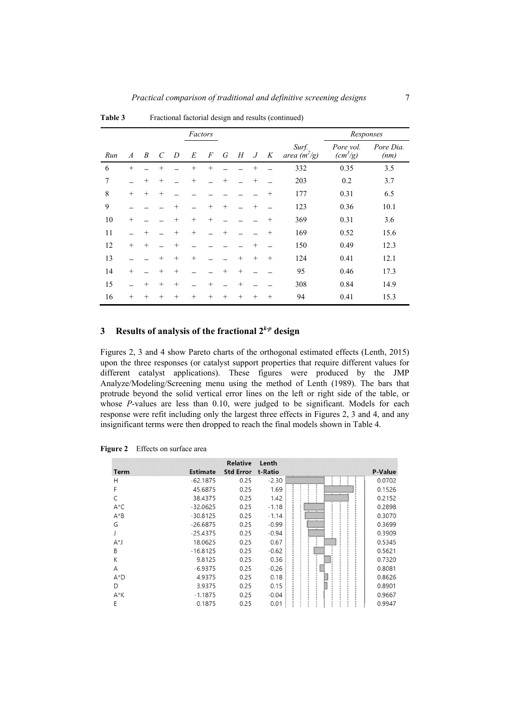| Factors |                  |        |                       |        |        |                  |        |        |        |        |                         | Responses                         |                   |  |  |
|---------|------------------|--------|-----------------------|--------|--------|------------------|--------|--------|--------|--------|-------------------------|-----------------------------------|-------------------|--|--|
| Run     | $\boldsymbol{A}$ | B      | $\mathcal{C}_{0}^{0}$ | D      | E      | $\boldsymbol{F}$ | G      | H      | J      | K      | Surf.<br>area $(m^2/g)$ | Pore vol.<br>(cm <sup>3</sup> /g) | Pore Dia.<br>(nm) |  |  |
| 6       | $^{+}$           |        | $^{+}$                |        | $^{+}$ | $^{+}$           |        |        | $^{+}$ |        | 332                     | 0.35                              | 3.5               |  |  |
| 7       |                  | $^{+}$ | $^{+}$                |        | $^{+}$ |                  | $^{+}$ |        | $^{+}$ |        | 203                     | 0.2                               | 3.7               |  |  |
| 8       | $+$              | $^{+}$ | $^{+}$                |        |        |                  |        |        |        | $^{+}$ | 177                     | 0.31                              | 6.5               |  |  |
| 9       |                  |        |                       | $^{+}$ |        | $^{+}$           | $^{+}$ |        | $^{+}$ |        | 123                     | 0.36                              | 10.1              |  |  |
| 10      | $^{+}$           |        |                       | $^{+}$ | $^{+}$ | $^{+}$           |        |        |        | $^{+}$ | 369                     | 0.31                              | 3.6               |  |  |
| 11      |                  | $^{+}$ |                       | $^{+}$ | $^{+}$ |                  | $^{+}$ |        |        | $^{+}$ | 169                     | 0.52                              | 15.6              |  |  |
| 12      | $+$              | $^{+}$ |                       | $^{+}$ |        |                  |        |        | $^{+}$ |        | 150                     | 0.49                              | 12.3              |  |  |
| 13      |                  |        | $^{+}$                | $^{+}$ | $^{+}$ |                  |        | $^{+}$ | $^{+}$ | $^{+}$ | 124                     | 0.41                              | 12.1              |  |  |
| 14      | $^{+}$           |        | $^{+}$                | $^{+}$ |        |                  | $^{+}$ | $^{+}$ |        |        | 95                      | 0.46                              | 17.3              |  |  |
| 15      |                  | $^{+}$ | $^{+}$                | $^{+}$ |        | $^{+}$           |        | $^{+}$ |        |        | 308                     | 0.84                              | 14.9              |  |  |
| 16      | $^{+}$           | $^{+}$ | $^{+}$                | $^{+}$ | $^{+}$ | $^{+}$           | $^{+}$ | $^{+}$ | $^{+}$ | $^{+}$ | 94                      | 0.41                              | 15.3              |  |  |

Table 3 Fractional factorial design and results (continued)

## **3** Results of analysis of the fractional  $2^{k-p}$  design

Figures 2, 3 and 4 show Pareto charts of the orthogonal estimated effects (Lenth, 2015) upon the three responses (or catalyst support properties that require different values for different catalyst applications). These figures were produced by the JMP Analyze/Modeling/Screening menu using the method of Lenth (1989). The bars that protrude beyond the solid vertical error lines on the left or right side of the table, or whose *P*-values are less than 0.10, were judged to be significant. Models for each response were refit including only the largest three effects in Figures 2, 3 and 4, and any insignificant terms were then dropped to reach the final models shown in Table 4.

|               |                 | <b>Relative</b>  | Lenth   |        |                |
|---------------|-----------------|------------------|---------|--------|----------------|
| <b>Term</b>   | <b>Estimate</b> | <b>Std Error</b> | t-Ratio |        | <b>P-Value</b> |
| Н             | $-62.1875$      | 0.25             | $-2.30$ |        | 0.0702         |
| F             | 45.6875         | 0.25             | 1.69    |        | 0.1526         |
| C             | 38.4375         | 0.25             | 1.42    |        | 0.2152         |
| $A^{\star}C$  | $-32.0625$      | 0.25             | $-1.18$ |        | 0.2898         |
| $A^*B$        | $-30.8125$      | 0.25             | $-1.14$ |        | 0.3070         |
| G             | $-26.6875$      | 0.25             | $-0.99$ |        | 0.3699         |
|               | $-25.4375$      | 0.25             | $-0.94$ |        | 0.3909         |
| $A^{\star}$ J | 18.0625         | 0.25             | 0.67    |        | 0.5345         |
| B             | $-16.8125$      | 0.25             | $-0.62$ | ٠<br>٠ | 0.5621         |
| К             | 9.8125          | 0.25             | 0.36    |        | 0.7320         |
| A             | $-6.9375$       | 0.25             | $-0.26$ |        | 0.8081         |
| $A^{\star}D$  | 4.9375          | 0.25             | 0.18    |        | 0.8626         |
| D             | 3.9375          | 0.25             | 0.15    |        | 0.8901         |
| $A^{\star}K$  | $-1.1875$       | 0.25             | $-0.04$ |        | 0.9667         |
| Ε             | 0.1875          | 0.25             | 0.01    |        | 0.9947         |

Figure 2 Effects on surface area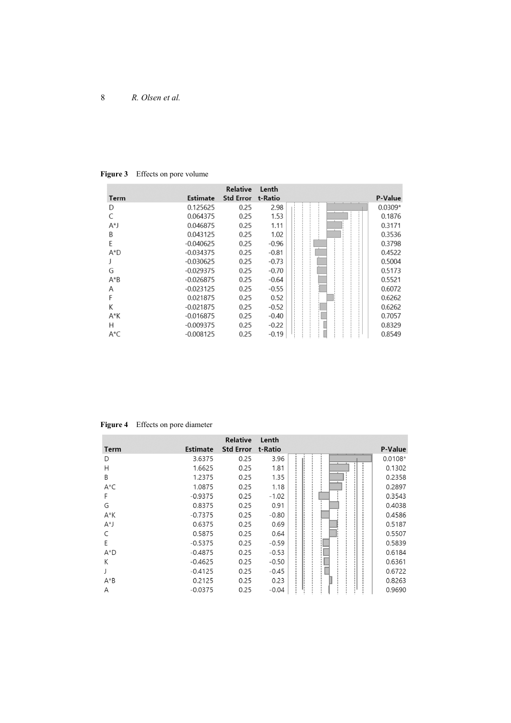|              |                 | Relative                 | Lenth   |                |           |
|--------------|-----------------|--------------------------|---------|----------------|-----------|
| Term         | <b>Estimate</b> | <b>Std Error</b> t-Ratio |         |                | P-Value   |
| D            | 0.125625        | 0.25                     | 2.98    |                | $0.0309*$ |
| C            | 0.064375        | 0.25                     | 1.53    |                | 0.1876    |
| A*J          | 0.046875        | 0.25                     | 1.11    | $\overline{1}$ | 0.3171    |
| B            | 0.043125        | 0.25                     | 1.02    |                | 0.3536    |
| E            | $-0.040625$     | 0.25                     | $-0.96$ |                | 0.3798    |
| $A^*D$       | $-0.034375$     | 0.25                     | $-0.81$ |                | 0.4522    |
| J            | $-0.030625$     | 0.25                     | $-0.73$ |                | 0.5004    |
| G            | $-0.029375$     | 0.25                     | $-0.70$ |                | 0.5173    |
| $A^*B$       | $-0.026875$     | 0.25                     | $-0.64$ |                | 0.5521    |
| A            | $-0.023125$     | 0.25                     | $-0.55$ |                | 0.6072    |
| F            | 0.021875        | 0.25                     | 0.52    |                | 0.6262    |
| К            | $-0.021875$     | 0.25                     | $-0.52$ |                | 0.6262    |
| A*K          | $-0.016875$     | 0.25                     | $-0.40$ |                | 0.7057    |
| H            | $-0.009375$     | 0.25                     | $-0.22$ |                | 0.8329    |
| $A^{\star}C$ | $-0.008125$     | 0.25                     | $-0.19$ |                | 0.8549    |

Figure 3 Effects on pore volume

| Figure 4 |  | Effects on pore diameter |
|----------|--|--------------------------|
|----------|--|--------------------------|

|               |                 | <b>Relative</b>  | Lenth   |              |                |
|---------------|-----------------|------------------|---------|--------------|----------------|
| <b>Term</b>   | <b>Estimate</b> | <b>Std Error</b> | t-Ratio |              | <b>P-Value</b> |
| D             | 3.6375          | 0.25             | 3.96    |              | $0.0108*$      |
| H             | 1.6625          | 0.25             | 1.81    |              | 0.1302         |
| B             | 1.2375          | 0.25             | 1.35    |              | 0.2358         |
| $A^{\star}C$  | 1.0875          | 0.25             | 1.18    |              | 0.2897         |
| F             | $-0.9375$       | 0.25             | $-1.02$ | $\mathbf{r}$ | 0.3543         |
| G             | 0.8375          | 0.25             | 0.91    |              | 0.4038         |
| $A^*K$        | $-0.7375$       | 0.25             | $-0.80$ |              | 0.4586         |
| $A^{\star}$ J | 0.6375          | 0.25             | 0.69    |              | 0.5187         |
| C             | 0.5875          | 0.25             | 0.64    |              | 0.5507         |
| E             | $-0.5375$       | 0.25             | $-0.59$ |              | 0.5839         |
| $A^*D$        | $-0.4875$       | 0.25             | $-0.53$ |              | 0.6184         |
| К             | $-0.4625$       | 0.25             | $-0.50$ |              | 0.6361         |
| J             | $-0.4125$       | 0.25             | $-0.45$ |              | 0.6722         |
| $A^*B$        | 0.2125          | 0.25             | 0.23    |              | 0.8263         |
| А             | $-0.0375$       | 0.25             | $-0.04$ |              | 0.9690         |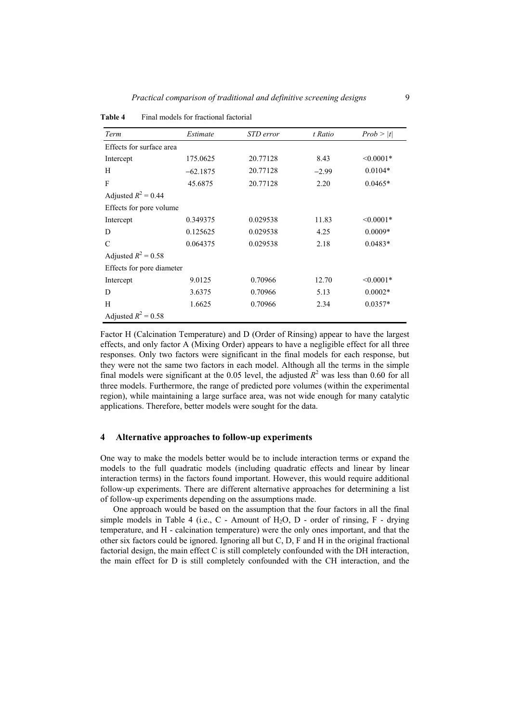| Term                      | Estimate   | STD error | t Ratio | Prob >  t      |  |  |  |  |  |
|---------------------------|------------|-----------|---------|----------------|--|--|--|--|--|
| Effects for surface area  |            |           |         |                |  |  |  |  |  |
| Intercept                 | 175.0625   | 20.77128  | 8.43    | $\leq 0.0001*$ |  |  |  |  |  |
| Н                         | $-62.1875$ | 20.77128  | $-2.99$ | $0.0104*$      |  |  |  |  |  |
| F                         | 45.6875    | 20.77128  | 2.20    | $0.0465*$      |  |  |  |  |  |
| Adjusted $R^2 = 0.44$     |            |           |         |                |  |  |  |  |  |
| Effects for pore volume   |            |           |         |                |  |  |  |  |  |
| Intercept                 | 0.349375   | 0.029538  | 11.83   | $\leq 0.0001*$ |  |  |  |  |  |
| D                         | 0.125625   | 0.029538  | 4.25    | $0.0009*$      |  |  |  |  |  |
| $\mathcal{C}$             | 0.064375   | 0.029538  | 2.18    | $0.0483*$      |  |  |  |  |  |
| Adjusted $R^2 = 0.58$     |            |           |         |                |  |  |  |  |  |
| Effects for pore diameter |            |           |         |                |  |  |  |  |  |
| Intercept                 | 9.0125     | 0.70966   | 12.70   | $\leq 0.0001*$ |  |  |  |  |  |
| D                         | 3.6375     | 0.70966   | 5.13    | $0.0002*$      |  |  |  |  |  |
| H                         | 1.6625     | 0.70966   | 2.34    | $0.0357*$      |  |  |  |  |  |
| Adjusted $R^2 = 0.58$     |            |           |         |                |  |  |  |  |  |

**Table 4** Final models for fractional factorial

Factor H (Calcination Temperature) and D (Order of Rinsing) appear to have the largest effects, and only factor A (Mixing Order) appears to have a negligible effect for all three responses. Only two factors were significant in the final models for each response, but they were not the same two factors in each model. Although all the terms in the simple final models were significant at the 0.05 level, the adjusted  $R^2$  was less than 0.60 for all three models. Furthermore, the range of predicted pore volumes (within the experimental region), while maintaining a large surface area, was not wide enough for many catalytic applications. Therefore, better models were sought for the data.

#### **4 Alternative approaches to follow-up experiments**

One way to make the models better would be to include interaction terms or expand the models to the full quadratic models (including quadratic effects and linear by linear interaction terms) in the factors found important. However, this would require additional follow-up experiments. There are different alternative approaches for determining a list of follow-up experiments depending on the assumptions made.

One approach would be based on the assumption that the four factors in all the final simple models in Table 4 (i.e.,  $C$  - Amount of H<sub>2</sub>O,  $D$  - order of rinsing,  $F$  - drying temperature, and H - calcination temperature) were the only ones important, and that the other six factors could be ignored. Ignoring all but C, D, F and H in the original fractional factorial design, the main effect C is still completely confounded with the DH interaction, the main effect for D is still completely confounded with the CH interaction, and the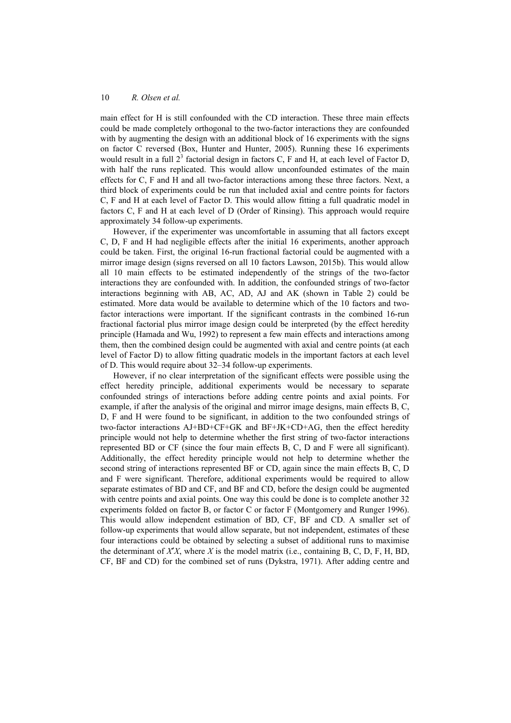main effect for H is still confounded with the CD interaction. These three main effects could be made completely orthogonal to the two-factor interactions they are confounded with by augmenting the design with an additional block of 16 experiments with the signs on factor C reversed (Box, Hunter and Hunter, 2005). Running these 16 experiments would result in a full  $2^3$  factorial design in factors C, F and H, at each level of Factor D, with half the runs replicated. This would allow unconfounded estimates of the main effects for C, F and H and all two-factor interactions among these three factors. Next, a third block of experiments could be run that included axial and centre points for factors C, F and H at each level of Factor D. This would allow fitting a full quadratic model in factors C, F and H at each level of D (Order of Rinsing). This approach would require approximately 34 follow-up experiments.

However, if the experimenter was uncomfortable in assuming that all factors except C, D, F and H had negligible effects after the initial 16 experiments, another approach could be taken. First, the original 16-run fractional factorial could be augmented with a mirror image design (signs reversed on all 10 factors Lawson, 2015b). This would allow all 10 main effects to be estimated independently of the strings of the two-factor interactions they are confounded with. In addition, the confounded strings of two-factor interactions beginning with AB, AC, AD, AJ and AK (shown in Table 2) could be estimated. More data would be available to determine which of the 10 factors and twofactor interactions were important. If the significant contrasts in the combined 16-run fractional factorial plus mirror image design could be interpreted (by the effect heredity principle (Hamada and Wu, 1992) to represent a few main effects and interactions among them, then the combined design could be augmented with axial and centre points (at each level of Factor D) to allow fitting quadratic models in the important factors at each level of D. This would require about 32–34 follow-up experiments.

However, if no clear interpretation of the significant effects were possible using the effect heredity principle, additional experiments would be necessary to separate confounded strings of interactions before adding centre points and axial points. For example, if after the analysis of the original and mirror image designs, main effects B, C, D, F and H were found to be significant, in addition to the two confounded strings of two-factor interactions AJ+BD+CF+GK and BF+JK+CD+AG, then the effect heredity principle would not help to determine whether the first string of two-factor interactions represented BD or CF (since the four main effects B, C, D and F were all significant). Additionally, the effect heredity principle would not help to determine whether the second string of interactions represented BF or CD, again since the main effects B, C, D and F were significant. Therefore, additional experiments would be required to allow separate estimates of BD and CF, and BF and CD, before the design could be augmented with centre points and axial points. One way this could be done is to complete another 32 experiments folded on factor B, or factor C or factor F (Montgomery and Runger 1996). This would allow independent estimation of BD, CF, BF and CD. A smaller set of follow-up experiments that would allow separate, but not independent, estimates of these four interactions could be obtained by selecting a subset of additional runs to maximise the determinant of  $X'X$ , where *X* is the model matrix (i.e., containing B, C, D, F, H, BD, CF, BF and CD) for the combined set of runs (Dykstra, 1971). After adding centre and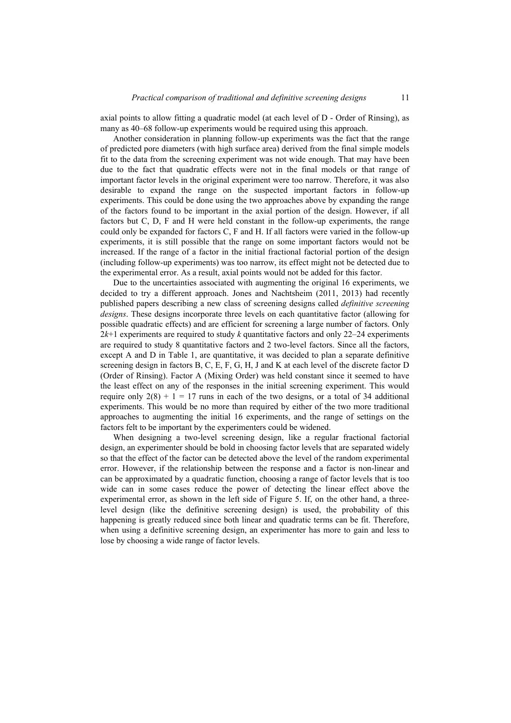axial points to allow fitting a quadratic model (at each level of D - Order of Rinsing), as many as 40–68 follow-up experiments would be required using this approach.

Another consideration in planning follow-up experiments was the fact that the range of predicted pore diameters (with high surface area) derived from the final simple models fit to the data from the screening experiment was not wide enough. That may have been due to the fact that quadratic effects were not in the final models or that range of important factor levels in the original experiment were too narrow. Therefore, it was also desirable to expand the range on the suspected important factors in follow-up experiments. This could be done using the two approaches above by expanding the range of the factors found to be important in the axial portion of the design. However, if all factors but C, D, F and H were held constant in the follow-up experiments, the range could only be expanded for factors C, F and H. If all factors were varied in the follow-up experiments, it is still possible that the range on some important factors would not be increased. If the range of a factor in the initial fractional factorial portion of the design (including follow-up experiments) was too narrow, its effect might not be detected due to the experimental error. As a result, axial points would not be added for this factor.

Due to the uncertainties associated with augmenting the original 16 experiments, we decided to try a different approach. Jones and Nachtsheim (2011, 2013) had recently published papers describing a new class of screening designs called *definitive screening designs*. These designs incorporate three levels on each quantitative factor (allowing for possible quadratic effects) and are efficient for screening a large number of factors. Only 2*k*+1 experiments are required to study *k* quantitative factors and only 22–24 experiments are required to study 8 quantitative factors and 2 two-level factors. Since all the factors, except A and D in Table 1, are quantitative, it was decided to plan a separate definitive screening design in factors B, C, E, F, G, H, J and K at each level of the discrete factor D (Order of Rinsing). Factor A (Mixing Order) was held constant since it seemed to have the least effect on any of the responses in the initial screening experiment. This would require only  $2(8) + 1 = 17$  runs in each of the two designs, or a total of 34 additional experiments. This would be no more than required by either of the two more traditional approaches to augmenting the initial 16 experiments, and the range of settings on the factors felt to be important by the experimenters could be widened.

When designing a two-level screening design, like a regular fractional factorial design, an experimenter should be bold in choosing factor levels that are separated widely so that the effect of the factor can be detected above the level of the random experimental error. However, if the relationship between the response and a factor is non-linear and can be approximated by a quadratic function, choosing a range of factor levels that is too wide can in some cases reduce the power of detecting the linear effect above the experimental error, as shown in the left side of Figure 5. If, on the other hand, a threelevel design (like the definitive screening design) is used, the probability of this happening is greatly reduced since both linear and quadratic terms can be fit. Therefore, when using a definitive screening design, an experimenter has more to gain and less to lose by choosing a wide range of factor levels.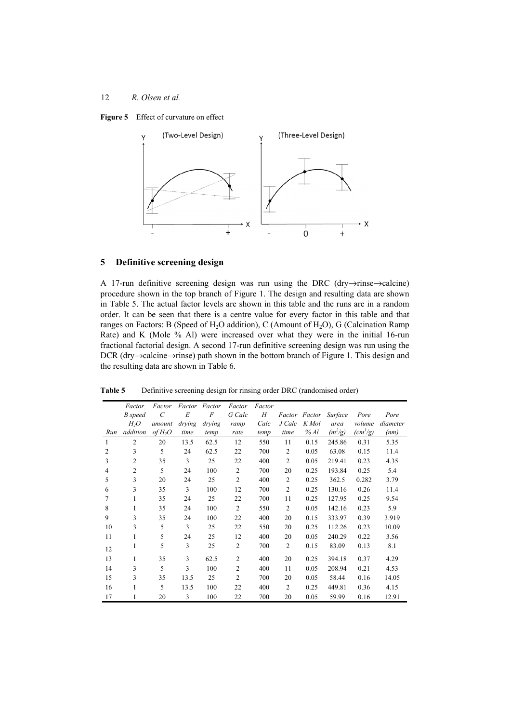**Figure 5** Effect of curvature on effect



### **5 Definitive screening design**

A 17-run definitive screening design was run using the DRC (dry→rinse→calcine) procedure shown in the top branch of Figure 1. The design and resulting data are shown in Table 5. The actual factor levels are shown in this table and the runs are in a random order. It can be seen that there is a centre value for every factor in this table and that ranges on Factors: B (Speed of H<sub>2</sub>O addition), C (Amount of H<sub>2</sub>O), G (Calcination Ramp Rate) and K (Mole % Al) were increased over what they were in the initial 16-run fractional factorial design. A second 17-run definitive screening design was run using the DCR (dry→calcine→rinse) path shown in the bottom branch of Figure 1. This design and the resulting data are shown in Table 6.

|                | Factor           | Factor    |        | Factor Factor | Factor         | Factor |                |               |           |                      |          |
|----------------|------------------|-----------|--------|---------------|----------------|--------|----------------|---------------|-----------|----------------------|----------|
|                | B speed          | C         | E      | F             | G Calc         | Н      |                | Factor Factor | Surface   | Pore                 | Pore     |
|                | H <sub>2</sub> O | amount    | drying | drying        | ramp           | Calc   | J Calc         | K Mol         | area      | volume               | diameter |
| Run            | addition         | of $H_2O$ | time   | temp          | rate           | temp   | time           | $%$ Al        | $(m^2/g)$ | (cm <sup>3</sup> /g) | (nm)     |
| 1              | $\overline{2}$   | 20        | 13.5   | 62.5          | 12             | 550    | 11             | 0.15          | 245.86    | 0.31                 | 5.35     |
| $\overline{c}$ | 3                | 5         | 24     | 62.5          | 22             | 700    | $\overline{2}$ | 0.05          | 63.08     | 0.15                 | 11.4     |
| 3              | $\overline{2}$   | 35        | 3      | 25            | 22             | 400    | $\overline{c}$ | 0.05          | 219.41    | 0.23                 | 4.35     |
| $\overline{4}$ | $\overline{2}$   | 5         | 24     | 100           | 2              | 700    | 20             | 0.25          | 193.84    | 0.25                 | 5.4      |
| 5              | 3                | 20        | 24     | 25            | 2              | 400    | 2              | 0.25          | 362.5     | 0.282                | 3.79     |
| 6              | 3                | 35        | 3      | 100           | 12             | 700    | $\overline{2}$ | 0.25          | 130.16    | 0.26                 | 11.4     |
| 7              | 1                | 35        | 24     | 25            | 22             | 700    | 11             | 0.25          | 127.95    | 0.25                 | 9.54     |
| 8              | 1                | 35        | 24     | 100           | $\overline{2}$ | 550    | $\overline{c}$ | 0.05          | 142.16    | 0.23                 | 5.9      |
| 9              | 3                | 35        | 24     | 100           | 22             | 400    | 20             | 0.15          | 333.97    | 0.39                 | 3.919    |
| 10             | 3                | 5         | 3      | 25            | 22             | 550    | 20             | 0.25          | 112.26    | 0.23                 | 10.09    |
| 11             | 1                | 5         | 24     | 25            | 12             | 400    | 20             | 0.05          | 240.29    | 0.22                 | 3.56     |
| 12             | 1                | 5         | 3      | 25            | $\overline{2}$ | 700    | $\overline{c}$ | 0.15          | 83.09     | 0.13                 | 8.1      |
| 13             | 1                | 35        | 3      | 62.5          | $\overline{2}$ | 400    | 20             | 0.25          | 394.18    | 0.37                 | 4.29     |
| 14             | 3                | 5         | 3      | 100           | $\overline{2}$ | 400    | 11             | 0.05          | 208.94    | 0.21                 | 4.53     |
| 15             | 3                | 35        | 13.5   | 25            | $\overline{2}$ | 700    | 20             | 0.05          | 58.44     | 0.16                 | 14.05    |
| 16             | 1                | 5         | 13.5   | 100           | 22             | 400    | $\overline{c}$ | 0.25          | 449.81    | 0.36                 | 4.15     |
| 17             | 1                | 20        | 3      | 100           | 22             | 700    | 20             | 0.05          | 59.99     | 0.16                 | 12.91    |

**Table 5** Definitive screening design for rinsing order DRC (randomised order)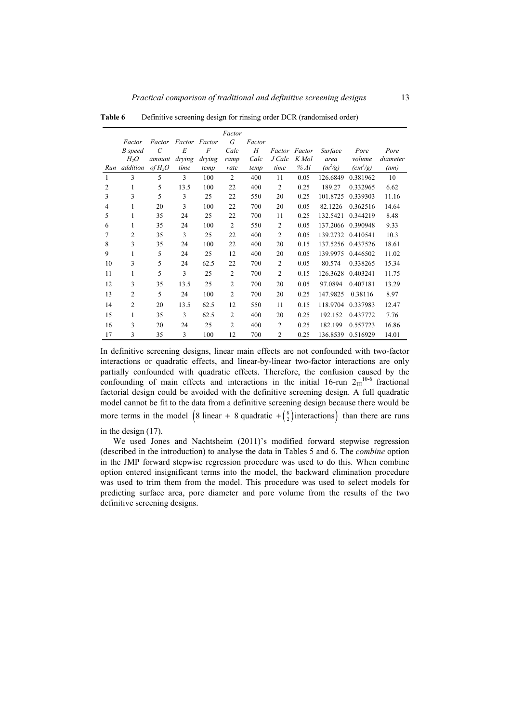|                |                  |           |               |        | Factor         |        |                |               |           |                      |          |
|----------------|------------------|-----------|---------------|--------|----------------|--------|----------------|---------------|-----------|----------------------|----------|
|                | Factor           | Factor    | Factor Factor |        | G              | Factor |                |               |           |                      |          |
|                | B speed          | C         | E             | F      | Calc           | H      |                | Factor Factor | Surface   | Pore                 | Pore     |
|                | H <sub>2</sub> O | amount    | drying        | drying | ramp           | Calc   | J Calc         | K Mol         | area      | volume               | diameter |
| Run            | addition         | of $H_2O$ | time          | temp   | rate           | temp   | time           | % Al          | $(m^2/g)$ | (cm <sup>3</sup> /g) | (nm)     |
| 1              | 3                | 5         | 3             | 100    | $\overline{c}$ | 400    | 11             | 0.05          | 126.6849  | 0.381962             | 10       |
| $\overline{2}$ | 1                | 5         | 13.5          | 100    | 22             | 400    | $\overline{2}$ | 0.25          | 189.27    | 0.332965             | 6.62     |
| 3              | 3                | 5         | 3             | 25     | 22             | 550    | 20             | 0.25          | 101.8725  | 0.339303             | 11.16    |
| 4              | 1                | 20        | 3             | 100    | 22             | 700    | 20             | 0.05          | 82.1226   | 0.362516             | 14.64    |
| 5              | 1                | 35        | 24            | 25     | 22             | 700    | 11             | 0.25          | 132.5421  | 0.344219             | 8.48     |
| 6              | 1                | 35        | 24            | 100    | 2              | 550    | $\overline{2}$ | 0.05          | 137.2066  | 0.390948             | 9.33     |
| 7              | $\overline{2}$   | 35        | 3             | 25     | 22             | 400    | $\overline{2}$ | 0.05          | 139.2732  | 0.410541             | 10.3     |
| 8              | 3                | 35        | 24            | 100    | 22             | 400    | 20             | 0.15          | 137.5256  | 0.437526             | 18.61    |
| 9              | 1                | 5         | 24            | 25     | 12             | 400    | 20             | 0.05          | 139.9975  | 0.446502             | 11.02    |
| 10             | 3                | 5         | 24            | 62.5   | 22             | 700    | $\overline{2}$ | 0.05          | 80.574    | 0.338265             | 15.34    |
| 11             | 1                | 5         | 3             | 25     | $\overline{c}$ | 700    | $\overline{2}$ | 0.15          | 126.3628  | 0.403241             | 11.75    |
| 12             | 3                | 35        | 13.5          | 25     | 2              | 700    | 20             | 0.05          | 97.0894   | 0.407181             | 13.29    |
| 13             | $\overline{2}$   | 5         | 24            | 100    | $\overline{c}$ | 700    | 20             | 0.25          | 147.9825  | 0.38116              | 8.97     |
| 14             | $\overline{2}$   | 20        | 13.5          | 62.5   | 12             | 550    | 11             | 0.15          | 118.9704  | 0.337983             | 12.47    |
| 15             | 1                | 35        | 3             | 62.5   | 2              | 400    | 20             | 0.25          | 192.152   | 0.437772             | 7.76     |
| 16             | 3                | 20        | 24            | 25     | 2              | 400    | $\overline{2}$ | 0.25          | 182.199   | 0.557723             | 16.86    |
| 17             | 3                | 35        | 3             | 100    | 12             | 700    | 2              | 0.25          | 136.8539  | 0.516929             | 14.01    |

**Table 6** Definitive screening design for rinsing order DCR (randomised order)

In definitive screening designs, linear main effects are not confounded with two-factor interactions or quadratic effects, and linear-by-linear two-factor interactions are only partially confounded with quadratic effects. Therefore, the confusion caused by the confounding of main effects and interactions in the initial 16-run  $2<sub>III</sub>^{10-6}$  fractional factorial design could be avoided with the definitive screening design. A full quadratic model cannot be fit to the data from a definitive screening design because there would be more terms in the model (8 linear + 8 quadratic  $+\binom{8}{2}$  interactions) than there are runs

in the design (17).

We used Jones and Nachtsheim (2011)'s modified forward stepwise regression (described in the introduction) to analyse the data in Tables 5 and 6. The *combine* option in the JMP forward stepwise regression procedure was used to do this. When combine option entered insignificant terms into the model, the backward elimination procedure was used to trim them from the model. This procedure was used to select models for predicting surface area, pore diameter and pore volume from the results of the two definitive screening designs.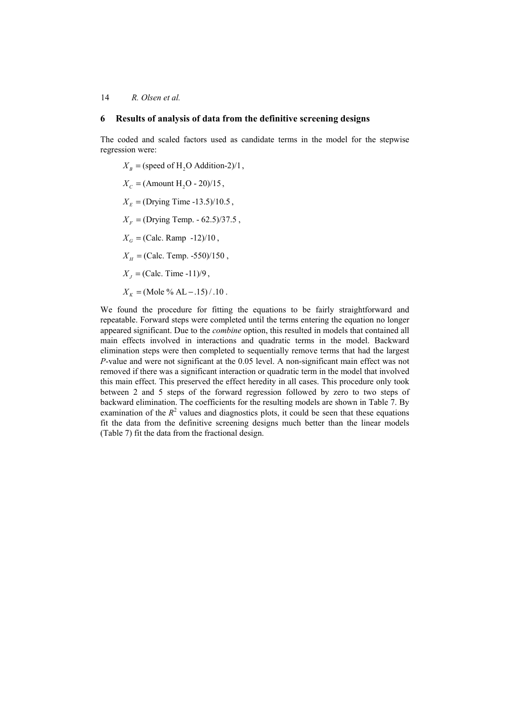#### **6 Results of analysis of data from the definitive screening designs**

The coded and scaled factors used as candidate terms in the model for the stepwise regression were:

 $X_B$  = (speed of H<sub>2</sub>O Addition-2)/1,  $X_c = (Amount H<sub>2</sub>O - 20)/15$ ,  $X_F = (Drying Time -13.5)/10.5$ ,  $X_F = (Drying Temp. - 62.5)/37.5$ ,  $X_G = (Calc$ . Ramp  $-12)/10$ ,  $X_H = (Calc$ . Temp. -550)/150 *,*  $X_i = (Calc. Time -11)/9$ ,  $X_K = (Mole \% AL - .15) / .10$ .

We found the procedure for fitting the equations to be fairly straightforward and repeatable. Forward steps were completed until the terms entering the equation no longer appeared significant. Due to the *combine* option, this resulted in models that contained all main effects involved in interactions and quadratic terms in the model. Backward elimination steps were then completed to sequentially remove terms that had the largest *P*-value and were not significant at the 0.05 level. A non-significant main effect was not removed if there was a significant interaction or quadratic term in the model that involved this main effect. This preserved the effect heredity in all cases. This procedure only took between 2 and 5 steps of the forward regression followed by zero to two steps of backward elimination. The coefficients for the resulting models are shown in Table 7. By examination of the  $R^2$  values and diagnostics plots, it could be seen that these equations fit the data from the definitive screening designs much better than the linear models (Table 7) fit the data from the fractional design.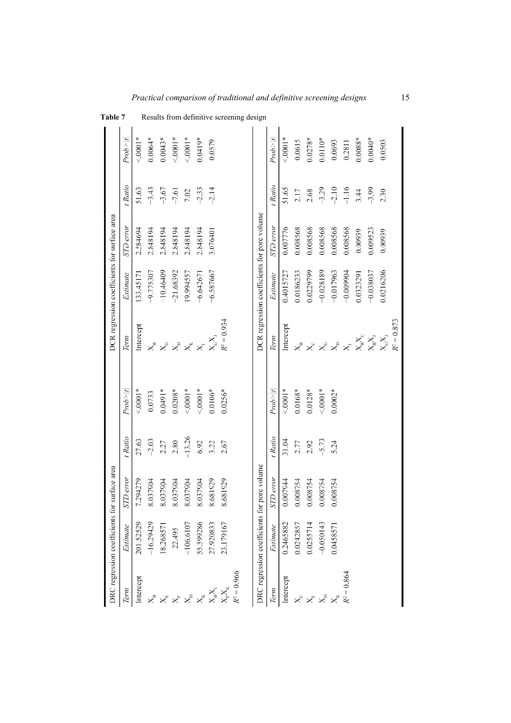|                                                                                                                  | DRC regression coefficients for surface area |                  |          |           |                                                                       | DCR regression coefficients for surface area |                  |          |           |
|------------------------------------------------------------------------------------------------------------------|----------------------------------------------|------------------|----------|-----------|-----------------------------------------------------------------------|----------------------------------------------|------------------|----------|-----------|
| Term                                                                                                             | Estimate                                     | <b>STD</b> error | t Ratio  | Prob> t   | Term                                                                  | Estimate                                     | STD error        | t Ratio  | Prob> t   |
| Intercept                                                                                                        | 201.52529                                    | 7.294279         | 27.63    | $0001*$   | Intercept                                                             | 133.45171                                    | 2.584694         | 51.63    | $0001*$   |
| $X_{\mathbb{B}}$                                                                                                 | $-16.29429$                                  | 8.037904         | $-2.03$  | 0.0733    | $X_{\mathbb{B}}$                                                      | $-9.775307$                                  | 2.848194         | $-3.43$  | $0.0064*$ |
|                                                                                                                  | 18.268571                                    | 8.037904         | 2.27     | $0.0491*$ |                                                                       | $-10.46409$                                  | 2.848194         | $-3.67$  | $0.0043*$ |
|                                                                                                                  | 22.495                                       | 8.037904         | 2.80     | $0.0208*$ |                                                                       | $-21.68392$                                  | 2.848194         | $-7.61$  | $10001*$  |
|                                                                                                                  | 106.6107                                     | 8.037904         | $-13.26$ | $10001*$  | $\mathsf{X}^\mathrm{C}_\mathrm{G}$ $\mathsf{X}^\mathrm{H}_\mathrm{H}$ | 19.994557                                    | 2.848194         | $7.02\,$ | $10001*$  |
|                                                                                                                  | 55.599286                                    | 8.037904         | 6.92     | $0001*$   | $\times$                                                              | $-6.64267$                                   | 2.848194         | $-2.33$  | $0.0419*$ |
| $\mathbf{x}^{\mathbf{R}}_{\mathbf{r}} \mathbf{x}^{\mathbf{R}}_{\mathbf{r}} \mathbf{x}^{\mathbf{R}}_{\mathbf{r}}$ | 27.920833                                    | 8.681929         | 3.22     | $0.0106*$ | $X_{\mathcal{S}}^{\mathbf{X}}$                                        | $-6.587667$                                  | 3.076401         | $-2.14$  | 0.0579    |
| $\zeta_{\rm F} X_{\rm K}$                                                                                        | 23.179167                                    | 8.681929         | 2.67     | $0.0256*$ | $R^2 = 0.934$                                                         |                                              |                  |          |           |
| $R^2 = 0.966$                                                                                                    |                                              |                  |          |           |                                                                       |                                              |                  |          |           |
|                                                                                                                  | DRC regression coefficients                  | or pore volume   |          |           |                                                                       | DCR regression coefficients for pore volume  |                  |          |           |
| Term                                                                                                             | Estimate                                     | <b>STD</b> error | t Ratio  | Prob> t   | Term                                                                  | Estimate                                     | <b>STD</b> error | t Ratio  | Prob> t   |
| Intercept                                                                                                        | 0.2465882                                    | 0.007944         | 31.04    | $10001*$  | Intercept                                                             | 0.4015727                                    | 0.007776         | 51.65    | $0001*$   |
|                                                                                                                  | 0.0242857                                    | 0.008754         | 2.77     | $0.0168*$ | $\mathsf{X}_\mathsf{B}$                                               | 0.0186233                                    | 0.008568         | 2.17     | 0.0615    |
|                                                                                                                  | 0.0255714                                    | 0.008754         | 2.92     | $0.0128*$ |                                                                       | 0.0229799                                    | 0.008568         | 2.68     | $0.0278*$ |
|                                                                                                                  | $-0.050143$                                  | 0.008754         | $-5.73$  | $10001*$  |                                                                       | $-0.028189$                                  | 0.008568         | $-3.29$  | $0.0110*$ |
|                                                                                                                  | 0.045857                                     | 0.008754         | 5.24     | $0.0002*$ |                                                                       | $-0.017963$                                  | 0.008568         | $-2.10$  | 0.0693    |
| $R^2 = 0.864$                                                                                                    |                                              |                  |          |           |                                                                       | $-0.009004$                                  | 0.008568         | $-1.16$  | 0.2811    |
|                                                                                                                  |                                              |                  |          |           | $\mathbf{X}_{\mathrm{B}}\mathbf{X}_{\mathrm{C}}$                      | 0.0323291                                    | 0.00939          | 3.44     | $0.0088*$ |
|                                                                                                                  |                                              |                  |          |           | $\mathbf{X_{B}^{\mathbf{X}}}\mathbf{X_{0}^{\mathbf{X}}}$              | $-0.038037$                                  | 0.009523         | $-3.99$  | $0.0040*$ |
|                                                                                                                  |                                              |                  |          |           |                                                                       | 0.0216206                                    | 0.00939          | 2.30     | 0.0503    |
|                                                                                                                  |                                              |                  |          |           | $R^2 = 0.873$                                                         |                                              |                  |          |           |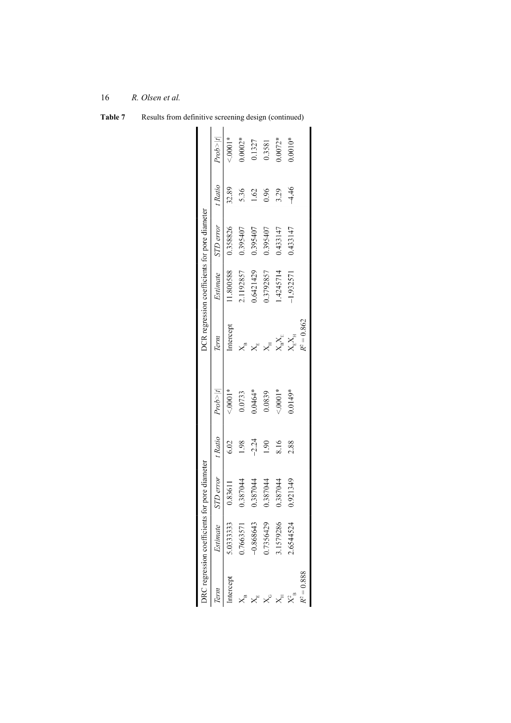|             |           | RC regression coefficients for pore diameter |               |           |               | DCR regression coefficients for pore diameter |                  |         |            |
|-------------|-----------|----------------------------------------------|---------------|-----------|---------------|-----------------------------------------------|------------------|---------|------------|
| erm         | Estimate  | <b>STD</b> error                             | t Ratio       | Prob> t   | Term          | Estimate                                      | <b>STD</b> error | t Ratio | Prob >  t  |
| ntercept    | .0333333  | 0.83611                                      |               | $0001*$   | Intercept     | 1.800588                                      | 0.358826         | 32.89   | $.0001*$   |
|             | 0.7663571 | 0.387044                                     | $\frac{8}{6}$ | 0.733     |               | 2.1192857                                     | 0.395407         | 5.36    | $0.0002*$  |
|             | 0.868643  | 0.387044                                     | $-2.24$       | 1.0464*   |               | 0.6421429                                     | 0.395407         |         | 0.1327     |
|             | 1.7356429 | 0.387044                                     | $\frac{8}{1}$ | 0.0839    |               | 1.3792857                                     | 1.395407         | 0.96    | 0.3581     |
|             | .1579286  | 0.387044                                     | 8.16          | $0000$ *  | $X_{B}X_{E}$  | 4245714                                       | 0.433147         | 3.29    | $0.0072*$  |
|             | 1.6544524 | 0.921349                                     | 2.88          | $0.0149*$ | $X_{E}X_{H}$  | $-1.932571$                                   | 0.433147         | $-4.46$ | $0.0010**$ |
| $R^2=0.888$ |           |                                              |               |           | $R^2 = 0.862$ |                                               |                  |         |            |
|             |           |                                              |               |           |               |                                               |                  |         |            |

Table 7 Results from definitive screening design (continued)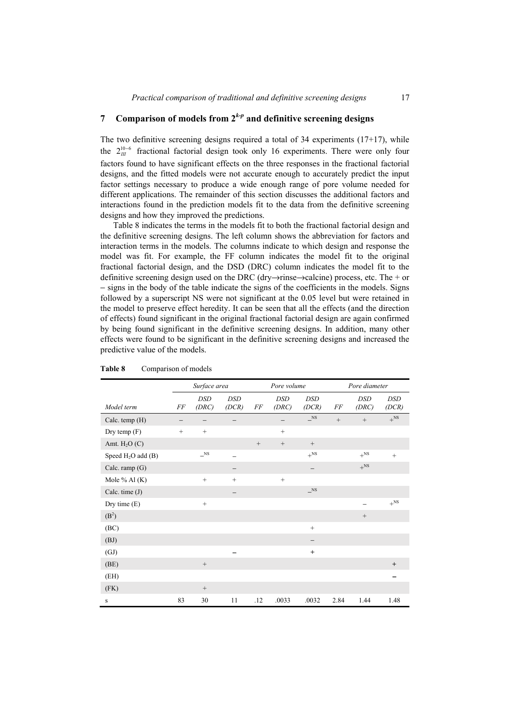# **7 Comparison of models from 2***k-p* **and definitive screening designs**

The two definitive screening designs required a total of 34 experiments  $(17+17)$ , while the  $2^{10-6}_{III}$  fractional factorial design took only 16 experiments. There were only four factors found to have significant effects on the three responses in the fractional factorial designs, and the fitted models were not accurate enough to accurately predict the input factor settings necessary to produce a wide enough range of pore volume needed for different applications. The remainder of this section discusses the additional factors and interactions found in the prediction models fit to the data from the definitive screening designs and how they improved the predictions.

Table 8 indicates the terms in the models fit to both the fractional factorial design and the definitive screening designs. The left column shows the abbreviation for factors and interaction terms in the models. The columns indicate to which design and response the model was fit. For example, the FF column indicates the model fit to the original fractional factorial design, and the DSD (DRC) column indicates the model fit to the definitive screening design used on the DRC (dry→rinse→calcine) process, etc. The + or − signs in the body of the table indicate the signs of the coefficients in the models. Signs followed by a superscript NS were not significant at the 0.05 level but were retained in the model to preserve effect heredity. It can be seen that all the effects (and the direction of effects) found significant in the original fractional factorial design are again confirmed by being found significant in the definitive screening designs. In addition, many other effects were found to be significant in the definitive screening designs and increased the predictive value of the models.

|                                |        | Surface area        |                     |     | Pore volume         |                     |      | Pore diameter       |                     |
|--------------------------------|--------|---------------------|---------------------|-----|---------------------|---------------------|------|---------------------|---------------------|
| Model term                     | FF     | <b>DSD</b><br>(DRC) | <b>DSD</b><br>(DCR) | FF  | <b>DSD</b><br>(DRC) | <b>DSD</b><br>(DCR) | FF   | <b>DSD</b><br>(DRC) | <b>DSD</b><br>(DCR) |
| Calc. temp $(H)$               | -      | -                   | —                   |     | -                   | $\mathbb{R}^N$      |      | $\qquad \qquad +$   | $+ ^{\mathrm{NS}}$  |
| Dry temp $(F)$                 | $^{+}$ | $^{+}$              |                     |     | $\qquad \qquad +$   |                     |      |                     |                     |
| Amt. $H_2O(C)$                 |        |                     |                     |     | $\qquad \qquad +$   | $\qquad \qquad +$   |      |                     |                     |
| Speed H <sub>2</sub> O add (B) |        | $\_$ NS $\,$        |                     |     |                     | $+$ <sup>NS</sup>   |      | $+^{NS}$            | $^{+}$              |
| Calc. ramp $(G)$               |        |                     |                     |     |                     |                     |      | $+$ <sup>NS</sup>   |                     |
| Mole % Al $(K)$                |        | $^{+}$              | $\qquad \qquad +$   |     | $\qquad \qquad +$   |                     |      |                     |                     |
| Calc. time $(J)$               |        |                     |                     |     |                     | $\_$ NS $\,$        |      |                     |                     |
| Dry time $(E)$                 |        | $\qquad \qquad +$   |                     |     |                     |                     |      |                     | $+$ <sup>NS</sup>   |
| $(B^2)$                        |        |                     |                     |     |                     |                     |      | $^{+}$              |                     |
| (BC)                           |        |                     |                     |     |                     | $^{+}$              |      |                     |                     |
| (BJ)                           |        |                     |                     |     |                     |                     |      |                     |                     |
| (GJ)                           |        |                     |                     |     |                     | $^{+}$              |      |                     |                     |
| (BE)                           |        | $^+$                |                     |     |                     |                     |      |                     | $+$                 |
| (EH)                           |        |                     |                     |     |                     |                     |      |                     |                     |
| (FK)                           |        | $\qquad \qquad +$   |                     |     |                     |                     |      |                     |                     |
| S                              | 83     | 30                  | 11                  | .12 | .0033               | .0032               | 2.84 | 1.44                | 1.48                |

| Table 8 | Comparison of models |  |
|---------|----------------------|--|
|         |                      |  |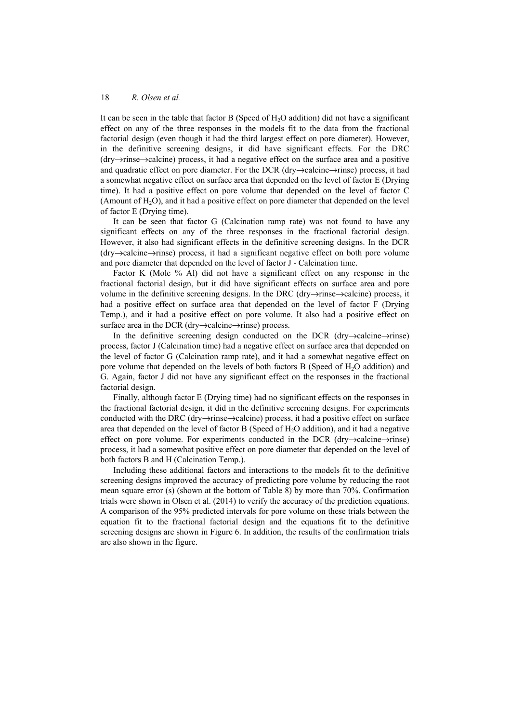It can be seen in the table that factor B (Speed of  $H<sub>2</sub>O$  addition) did not have a significant effect on any of the three responses in the models fit to the data from the fractional factorial design (even though it had the third largest effect on pore diameter). However, in the definitive screening designs, it did have significant effects. For the DRC (dry→rinse→calcine) process, it had a negative effect on the surface area and a positive and quadratic effect on pore diameter. For the DCR (dry→calcine→rinse) process, it had a somewhat negative effect on surface area that depended on the level of factor E (Drying time). It had a positive effect on pore volume that depended on the level of factor C (Amount of  $H<sub>2</sub>O$ ), and it had a positive effect on pore diameter that depended on the level of factor E (Drying time).

It can be seen that factor G (Calcination ramp rate) was not found to have any significant effects on any of the three responses in the fractional factorial design. However, it also had significant effects in the definitive screening designs. In the DCR (dry→calcine→rinse) process, it had a significant negative effect on both pore volume and pore diameter that depended on the level of factor J - Calcination time.

Factor K (Mole % Al) did not have a significant effect on any response in the fractional factorial design, but it did have significant effects on surface area and pore volume in the definitive screening designs. In the DRC (dry→rinse→calcine) process, it had a positive effect on surface area that depended on the level of factor F (Drying Temp.), and it had a positive effect on pore volume. It also had a positive effect on surface area in the DCR (dry→calcine→rinse) process.

In the definitive screening design conducted on the DCR (dry→calcine→rinse) process, factor J (Calcination time) had a negative effect on surface area that depended on the level of factor G (Calcination ramp rate), and it had a somewhat negative effect on pore volume that depended on the levels of both factors B (Speed of H<sub>2</sub>O addition) and G. Again, factor J did not have any significant effect on the responses in the fractional factorial design.

Finally, although factor E (Drying time) had no significant effects on the responses in the fractional factorial design, it did in the definitive screening designs. For experiments conducted with the DRC (dry→rinse→calcine) process, it had a positive effect on surface area that depended on the level of factor B (Speed of H2O addition), and it had a negative effect on pore volume. For experiments conducted in the DCR (dry→calcine→rinse) process, it had a somewhat positive effect on pore diameter that depended on the level of both factors B and H (Calcination Temp.).

Including these additional factors and interactions to the models fit to the definitive screening designs improved the accuracy of predicting pore volume by reducing the root mean square error (s) (shown at the bottom of Table 8) by more than 70%. Confirmation trials were shown in Olsen et al. (2014) to verify the accuracy of the prediction equations. A comparison of the 95% predicted intervals for pore volume on these trials between the equation fit to the fractional factorial design and the equations fit to the definitive screening designs are shown in Figure 6. In addition, the results of the confirmation trials are also shown in the figure.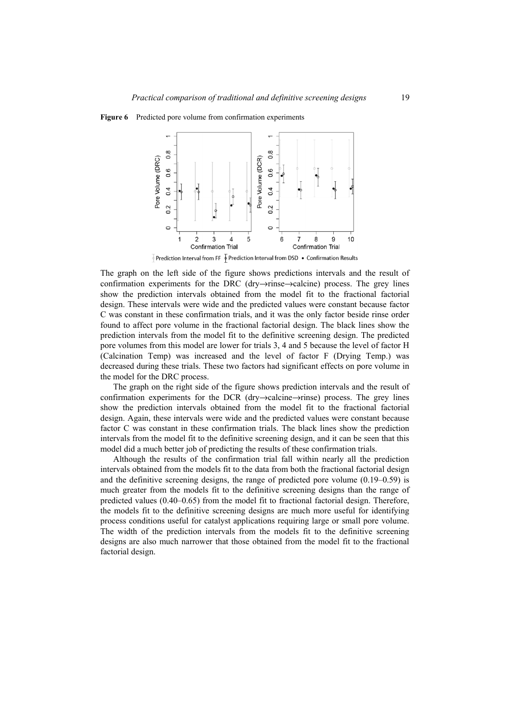

Figure 6 Predicted pore volume from confirmation experiments

 $\sqrt[3]{}$  Prediction Interval from FF  $\sqrt[3]{}$  Prediction Interval from DSD • Confirmation Results

The graph on the left side of the figure shows predictions intervals and the result of confirmation experiments for the DRC (dry→rinse→calcine) process. The grey lines show the prediction intervals obtained from the model fit to the fractional factorial design. These intervals were wide and the predicted values were constant because factor C was constant in these confirmation trials, and it was the only factor beside rinse order found to affect pore volume in the fractional factorial design. The black lines show the prediction intervals from the model fit to the definitive screening design. The predicted pore volumes from this model are lower for trials 3, 4 and 5 because the level of factor H (Calcination Temp) was increased and the level of factor F (Drying Temp.) was decreased during these trials. These two factors had significant effects on pore volume in the model for the DRC process.

The graph on the right side of the figure shows prediction intervals and the result of confirmation experiments for the DCR (dry→calcine→rinse) process. The grey lines show the prediction intervals obtained from the model fit to the fractional factorial design. Again, these intervals were wide and the predicted values were constant because factor C was constant in these confirmation trials. The black lines show the prediction intervals from the model fit to the definitive screening design, and it can be seen that this model did a much better job of predicting the results of these confirmation trials.

Although the results of the confirmation trial fall within nearly all the prediction intervals obtained from the models fit to the data from both the fractional factorial design and the definitive screening designs, the range of predicted pore volume (0.19–0.59) is much greater from the models fit to the definitive screening designs than the range of predicted values (0.40–0.65) from the model fit to fractional factorial design. Therefore, the models fit to the definitive screening designs are much more useful for identifying process conditions useful for catalyst applications requiring large or small pore volume. The width of the prediction intervals from the models fit to the definitive screening designs are also much narrower that those obtained from the model fit to the fractional factorial design.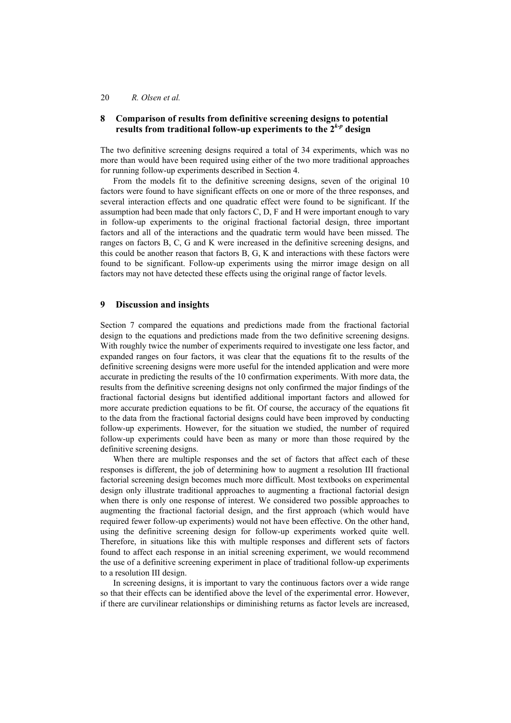#### **8 Comparison of results from definitive screening designs to potential results from traditional follow-up experiments to the 2***k-p* **design**

The two definitive screening designs required a total of 34 experiments, which was no more than would have been required using either of the two more traditional approaches for running follow-up experiments described in Section 4.

From the models fit to the definitive screening designs, seven of the original 10 factors were found to have significant effects on one or more of the three responses, and several interaction effects and one quadratic effect were found to be significant. If the assumption had been made that only factors C, D, F and H were important enough to vary in follow-up experiments to the original fractional factorial design, three important factors and all of the interactions and the quadratic term would have been missed. The ranges on factors B, C, G and K were increased in the definitive screening designs, and this could be another reason that factors B, G, K and interactions with these factors were found to be significant. Follow-up experiments using the mirror image design on all factors may not have detected these effects using the original range of factor levels.

### **9 Discussion and insights**

Section 7 compared the equations and predictions made from the fractional factorial design to the equations and predictions made from the two definitive screening designs. With roughly twice the number of experiments required to investigate one less factor, and expanded ranges on four factors, it was clear that the equations fit to the results of the definitive screening designs were more useful for the intended application and were more accurate in predicting the results of the 10 confirmation experiments. With more data, the results from the definitive screening designs not only confirmed the major findings of the fractional factorial designs but identified additional important factors and allowed for more accurate prediction equations to be fit. Of course, the accuracy of the equations fit to the data from the fractional factorial designs could have been improved by conducting follow-up experiments. However, for the situation we studied, the number of required follow-up experiments could have been as many or more than those required by the definitive screening designs.

When there are multiple responses and the set of factors that affect each of these responses is different, the job of determining how to augment a resolution III fractional factorial screening design becomes much more difficult. Most textbooks on experimental design only illustrate traditional approaches to augmenting a fractional factorial design when there is only one response of interest. We considered two possible approaches to augmenting the fractional factorial design, and the first approach (which would have required fewer follow-up experiments) would not have been effective. On the other hand, using the definitive screening design for follow-up experiments worked quite well. Therefore, in situations like this with multiple responses and different sets of factors found to affect each response in an initial screening experiment, we would recommend the use of a definitive screening experiment in place of traditional follow-up experiments to a resolution III design.

In screening designs, it is important to vary the continuous factors over a wide range so that their effects can be identified above the level of the experimental error. However, if there are curvilinear relationships or diminishing returns as factor levels are increased,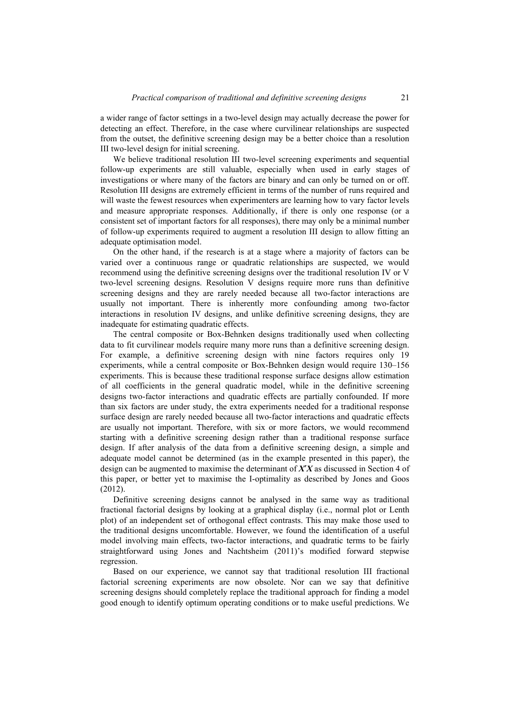a wider range of factor settings in a two-level design may actually decrease the power for detecting an effect. Therefore, in the case where curvilinear relationships are suspected from the outset, the definitive screening design may be a better choice than a resolution III two-level design for initial screening.

We believe traditional resolution III two-level screening experiments and sequential follow-up experiments are still valuable, especially when used in early stages of investigations or where many of the factors are binary and can only be turned on or off. Resolution III designs are extremely efficient in terms of the number of runs required and will waste the fewest resources when experimenters are learning how to vary factor levels and measure appropriate responses. Additionally, if there is only one response (or a consistent set of important factors for all responses), there may only be a minimal number of follow-up experiments required to augment a resolution III design to allow fitting an adequate optimisation model.

On the other hand, if the research is at a stage where a majority of factors can be varied over a continuous range or quadratic relationships are suspected, we would recommend using the definitive screening designs over the traditional resolution IV or V two-level screening designs. Resolution V designs require more runs than definitive screening designs and they are rarely needed because all two-factor interactions are usually not important. There is inherently more confounding among two-factor interactions in resolution IV designs, and unlike definitive screening designs, they are inadequate for estimating quadratic effects.

The central composite or Box-Behnken designs traditionally used when collecting data to fit curvilinear models require many more runs than a definitive screening design. For example, a definitive screening design with nine factors requires only 19 experiments, while a central composite or Box-Behnken design would require 130–156 experiments. This is because these traditional response surface designs allow estimation of all coefficients in the general quadratic model, while in the definitive screening designs two-factor interactions and quadratic effects are partially confounded. If more than six factors are under study, the extra experiments needed for a traditional response surface design are rarely needed because all two-factor interactions and quadratic effects are usually not important. Therefore, with six or more factors, we would recommend starting with a definitive screening design rather than a traditional response surface design. If after analysis of the data from a definitive screening design, a simple and adequate model cannot be determined (as in the example presented in this paper), the design can be augmented to maximise the determinant of *X*′*X* as discussed in Section 4 of this paper, or better yet to maximise the I-optimality as described by Jones and Goos (2012).

Definitive screening designs cannot be analysed in the same way as traditional fractional factorial designs by looking at a graphical display (i.e., normal plot or Lenth plot) of an independent set of orthogonal effect contrasts. This may make those used to the traditional designs uncomfortable. However, we found the identification of a useful model involving main effects, two-factor interactions, and quadratic terms to be fairly straightforward using Jones and Nachtsheim (2011)'s modified forward stepwise regression.

Based on our experience, we cannot say that traditional resolution III fractional factorial screening experiments are now obsolete. Nor can we say that definitive screening designs should completely replace the traditional approach for finding a model good enough to identify optimum operating conditions or to make useful predictions. We